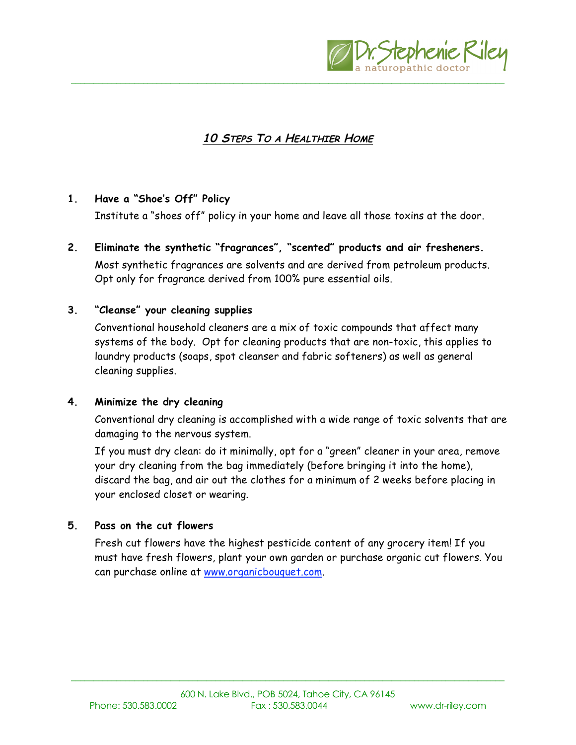

# **10 STEPS TO A HEALTHIER HOME**

\_\_\_\_\_\_\_\_\_\_\_\_\_\_\_\_\_\_\_\_\_\_\_\_\_\_\_\_\_\_\_\_\_\_\_\_\_\_\_\_\_\_\_\_\_\_\_\_\_\_\_\_\_\_\_\_\_\_\_\_\_\_\_\_\_\_\_\_\_\_\_\_\_\_\_\_\_\_\_\_\_\_\_\_\_\_\_\_\_\_\_\_\_\_\_\_

## **1. Have a "Shoe's Off" Policy**

Institute a "shoes off" policy in your home and leave all those toxins at the door.

**2. Eliminate the synthetic "fragrances", "scented" products and air fresheners.** Most synthetic fragrances are solvents and are derived from petroleum products. Opt only for fragrance derived from 100% pure essential oils.

#### **3. "Cleanse" your cleaning supplies**

Conventional household cleaners are a mix of toxic compounds that affect many systems of the body. Opt for cleaning products that are non-toxic, this applies to laundry products (soaps, spot cleanser and fabric softeners) as well as general cleaning supplies.

#### **4. Minimize the dry cleaning**

Conventional dry cleaning is accomplished with a wide range of toxic solvents that are damaging to the nervous system.

If you must dry clean: do it minimally, opt for a "green" cleaner in your area, remove your dry cleaning from the bag immediately (before bringing it into the home), discard the bag, and air out the clothes for a minimum of 2 weeks before placing in your enclosed closet or wearing.

#### **5. Pass on the cut flowers**

Fresh cut flowers have the highest pesticide content of any grocery item! If you must have fresh flowers, plant your own garden or purchase organic cut flowers. You can purchase online at www.organicbouquet.com.

\_\_\_\_\_\_\_\_\_\_\_\_\_\_\_\_\_\_\_\_\_\_\_\_\_\_\_\_\_\_\_\_\_\_\_\_\_\_\_\_\_\_\_\_\_\_\_\_\_\_\_\_\_\_\_\_\_\_\_\_\_\_\_\_\_\_\_\_\_\_\_\_\_\_\_\_\_\_\_\_\_\_\_\_\_\_\_\_\_\_\_\_\_\_\_\_